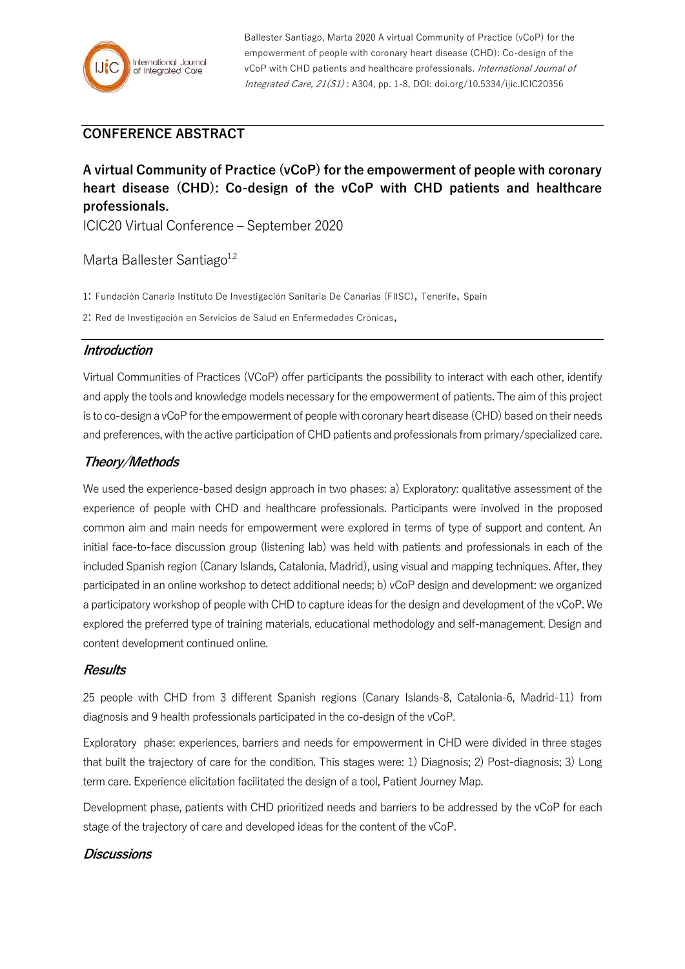

Ballester Santiago, Marta 2020 A virtual Community of Practice (vCoP) for the empowerment of people with coronary heart disease (CHD): Co-design of the vCoP with CHD patients and healthcare professionals. International Journal of Integrated Care, 21(S1) : A304, pp. 1-8, DOI: doi.org/10.5334/ijic.ICIC20356

# **CONFERENCE ABSTRACT**

# **A virtual Community of Practice (vCoP) for the empowerment of people with coronary heart disease (CHD): Co-design of the vCoP with CHD patients and healthcare professionals.**

ICIC20 Virtual Conference – September 2020

## Marta Ballester Santiago<sup>1,2</sup>

1: Fundación Canaria Instituto De Investigación Sanitaria De Canarias (FIISC), Tenerife, Spain

2: Red de Investigación en Servicios de Salud en Enfermedades Crónicas,

## **Introduction**

Virtual Communities of Practices (VCoP) offer participants the possibility to interact with each other, identify and apply the tools and knowledge models necessary for the empowerment of patients. The aim of this project is to co-design a vCoP for the empowerment of people with coronary heart disease (CHD) based on their needs and preferences, with the active participation of CHD patients and professionals from primary/specialized care.

## **Theory/Methods**

We used the experience-based design approach in two phases: a) Exploratory: qualitative assessment of the experience of people with CHD and healthcare professionals. Participants were involved in the proposed common aim and main needs for empowerment were explored in terms of type of support and content. An initial face-to-face discussion group (listening lab) was held with patients and professionals in each of the included Spanish region (Canary Islands, Catalonia, Madrid), using visual and mapping techniques. After, they participated in an online workshop to detect additional needs; b) vCoP design and development: we organized a participatory workshop of people with CHD to capture ideas for the design and development of the vCoP. We explored the preferred type of training materials, educational methodology and self-management. Design and content development continued online.

#### **Results**

25 people with CHD from 3 different Spanish regions (Canary Islands-8, Catalonia-6, Madrid-11) from diagnosis and 9 health professionals participated in the co-design of the vCoP.

Exploratory phase: experiences, barriers and needs for empowerment in CHD were divided in three stages that built the trajectory of care for the condition. This stages were: 1) Diagnosis; 2) Post-diagnosis; 3) Long term care. Experience elicitation facilitated the design of a tool, Patient Journey Map.

Development phase, patients with CHD prioritized needs and barriers to be addressed by the vCoP for each stage of the trajectory of care and developed ideas for the content of the vCoP.

## **Discussions**